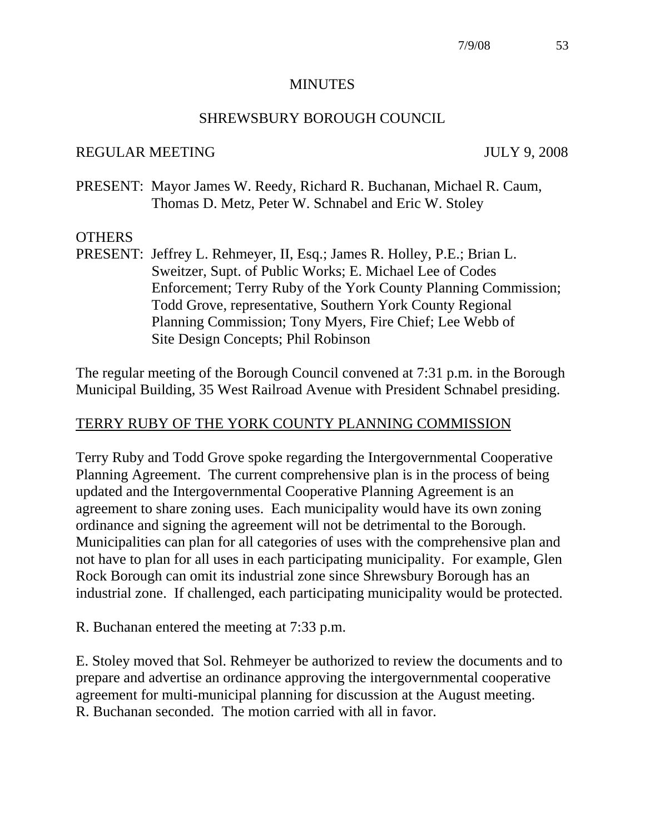#### **MINUTES**

#### SHREWSBURY BOROUGH COUNCIL

#### REGULAR MEETING JULY 9, 2008

PRESENT: Mayor James W. Reedy, Richard R. Buchanan, Michael R. Caum, Thomas D. Metz, Peter W. Schnabel and Eric W. Stoley

#### **OTHERS**

PRESENT: Jeffrey L. Rehmeyer, II, Esq.; James R. Holley, P.E.; Brian L. Sweitzer, Supt. of Public Works; E. Michael Lee of Codes Enforcement; Terry Ruby of the York County Planning Commission; Todd Grove, representative, Southern York County Regional Planning Commission; Tony Myers, Fire Chief; Lee Webb of Site Design Concepts; Phil Robinson

The regular meeting of the Borough Council convened at 7:31 p.m. in the Borough Municipal Building, 35 West Railroad Avenue with President Schnabel presiding.

#### TERRY RUBY OF THE YORK COUNTY PLANNING COMMISSION

Terry Ruby and Todd Grove spoke regarding the Intergovernmental Cooperative Planning Agreement. The current comprehensive plan is in the process of being updated and the Intergovernmental Cooperative Planning Agreement is an agreement to share zoning uses. Each municipality would have its own zoning ordinance and signing the agreement will not be detrimental to the Borough. Municipalities can plan for all categories of uses with the comprehensive plan and not have to plan for all uses in each participating municipality. For example, Glen Rock Borough can omit its industrial zone since Shrewsbury Borough has an industrial zone. If challenged, each participating municipality would be protected.

R. Buchanan entered the meeting at 7:33 p.m.

E. Stoley moved that Sol. Rehmeyer be authorized to review the documents and to prepare and advertise an ordinance approving the intergovernmental cooperative agreement for multi-municipal planning for discussion at the August meeting. R. Buchanan seconded. The motion carried with all in favor.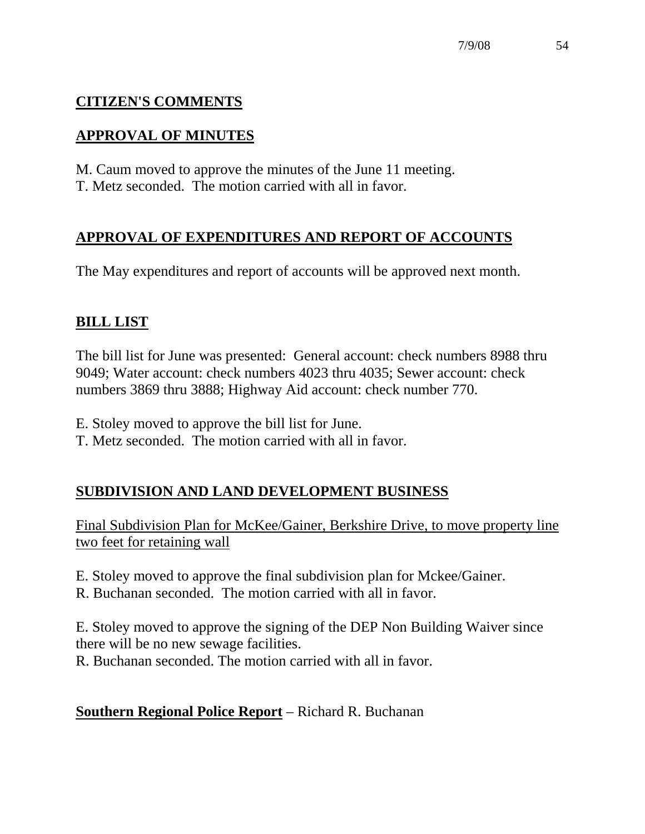# **CITIZEN'S COMMENTS**

# **APPROVAL OF MINUTES**

M. Caum moved to approve the minutes of the June 11 meeting. T. Metz seconded. The motion carried with all in favor.

# **APPROVAL OF EXPENDITURES AND REPORT OF ACCOUNTS**

The May expenditures and report of accounts will be approved next month.

# **BILL LIST**

The bill list for June was presented: General account: check numbers 8988 thru 9049; Water account: check numbers 4023 thru 4035; Sewer account: check numbers 3869 thru 3888; Highway Aid account: check number 770.

- E. Stoley moved to approve the bill list for June.
- T. Metz seconded. The motion carried with all in favor.

# **SUBDIVISION AND LAND DEVELOPMENT BUSINESS**

Final Subdivision Plan for McKee/Gainer, Berkshire Drive, to move property line two feet for retaining wall

E. Stoley moved to approve the final subdivision plan for Mckee/Gainer.

R. Buchanan seconded. The motion carried with all in favor.

E. Stoley moved to approve the signing of the DEP Non Building Waiver since there will be no new sewage facilities.

R. Buchanan seconded. The motion carried with all in favor.

# **Southern Regional Police Report** – Richard R. Buchanan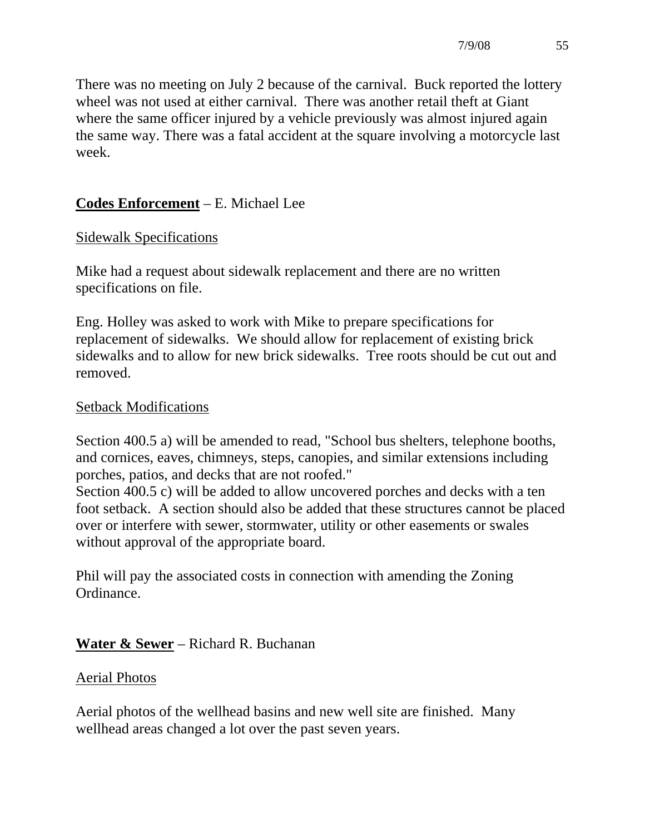There was no meeting on July 2 because of the carnival. Buck reported the lottery wheel was not used at either carnival. There was another retail theft at Giant where the same officer injured by a vehicle previously was almost injured again the same way. There was a fatal accident at the square involving a motorcycle last week.

### **Codes Enforcement** – E. Michael Lee

### Sidewalk Specifications

Mike had a request about sidewalk replacement and there are no written specifications on file.

Eng. Holley was asked to work with Mike to prepare specifications for replacement of sidewalks. We should allow for replacement of existing brick sidewalks and to allow for new brick sidewalks. Tree roots should be cut out and removed.

#### Setback Modifications

Section 400.5 a) will be amended to read, "School bus shelters, telephone booths, and cornices, eaves, chimneys, steps, canopies, and similar extensions including porches, patios, and decks that are not roofed."

Section 400.5 c) will be added to allow uncovered porches and decks with a ten foot setback. A section should also be added that these structures cannot be placed over or interfere with sewer, stormwater, utility or other easements or swales without approval of the appropriate board.

Phil will pay the associated costs in connection with amending the Zoning Ordinance.

### **Water & Sewer** – Richard R. Buchanan

#### Aerial Photos

Aerial photos of the wellhead basins and new well site are finished. Many wellhead areas changed a lot over the past seven years.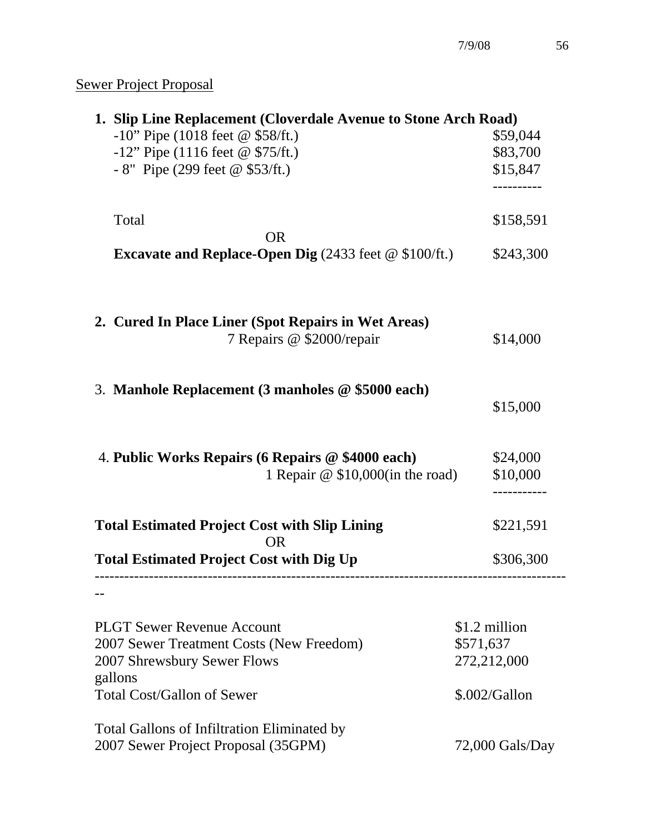# Sewer Project Proposal

| 1. Slip Line Replacement (Cloverdale Avenue to Stone Arch Road) |                   |  |
|-----------------------------------------------------------------|-------------------|--|
| $-10$ " Pipe (1018 feet @ \$58/ft.)                             | \$59,044          |  |
| $-12$ " Pipe (1116 feet @ \$75/ft.)                             | \$83,700          |  |
| - 8" Pipe (299 feet $@$ \$53/ft.)                               | \$15,847          |  |
|                                                                 |                   |  |
| Total                                                           | \$158,591         |  |
| <b>OR</b>                                                       |                   |  |
| <b>Excavate and Replace-Open Dig</b> (2433 feet $@$ \$100/ft.)  | \$243,300         |  |
| 2. Cured In Place Liner (Spot Repairs in Wet Areas)             |                   |  |
| 7 Repairs @ \$2000/repair                                       | \$14,000          |  |
|                                                                 |                   |  |
| 3. Manhole Replacement (3 manholes @ \$5000 each)               | \$15,000          |  |
| 4. Public Works Repairs (6 Repairs @ \$4000 each)               | \$24,000          |  |
| 1 Repair @ \$10,000(in the road)                                | \$10,000          |  |
| <b>Total Estimated Project Cost with Slip Lining</b>            | \$221,591         |  |
| <b>OR</b>                                                       |                   |  |
| <b>Total Estimated Project Cost with Dig Up</b>                 | \$306,300         |  |
|                                                                 |                   |  |
| <b>PLGT Sewer Revenue Account</b>                               | \$1.2 million     |  |
| 2007 Sewer Treatment Costs (New Freedom)                        | \$571,637         |  |
| 2007 Shrewsbury Sewer Flows                                     | 272,212,000       |  |
| gallons                                                         |                   |  |
| <b>Total Cost/Gallon of Sewer</b>                               | $$.002/G$ allon   |  |
| <b>Total Gallons of Infiltration Eliminated by</b>              |                   |  |
| 2007 Sewer Project Proposal (35GPM)                             | $72,000$ Gals/Day |  |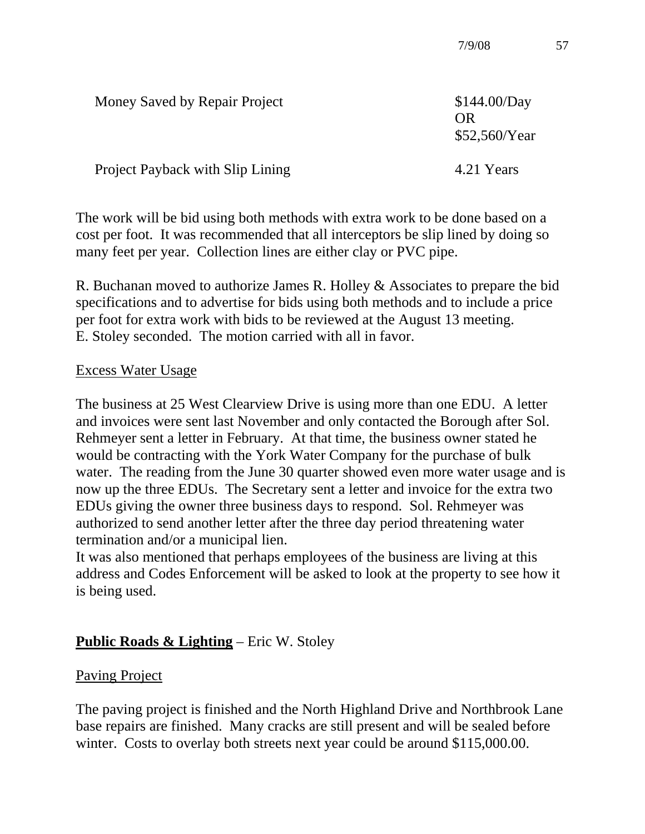| Money Saved by Repair Project    | \$144.00/Day<br>OR)<br>\$52,560/Year |
|----------------------------------|--------------------------------------|
| Project Payback with Slip Lining | 4.21 Years                           |

The work will be bid using both methods with extra work to be done based on a cost per foot. It was recommended that all interceptors be slip lined by doing so many feet per year. Collection lines are either clay or PVC pipe.

R. Buchanan moved to authorize James R. Holley & Associates to prepare the bid specifications and to advertise for bids using both methods and to include a price per foot for extra work with bids to be reviewed at the August 13 meeting. E. Stoley seconded. The motion carried with all in favor.

#### Excess Water Usage

The business at 25 West Clearview Drive is using more than one EDU. A letter and invoices were sent last November and only contacted the Borough after Sol. Rehmeyer sent a letter in February. At that time, the business owner stated he would be contracting with the York Water Company for the purchase of bulk water. The reading from the June 30 quarter showed even more water usage and is now up the three EDUs. The Secretary sent a letter and invoice for the extra two EDUs giving the owner three business days to respond. Sol. Rehmeyer was authorized to send another letter after the three day period threatening water termination and/or a municipal lien.

It was also mentioned that perhaps employees of the business are living at this address and Codes Enforcement will be asked to look at the property to see how it is being used.

### **Public Roads & Lighting** – Eric W. Stoley

#### Paving Project

The paving project is finished and the North Highland Drive and Northbrook Lane base repairs are finished. Many cracks are still present and will be sealed before winter. Costs to overlay both streets next year could be around \$115,000.00.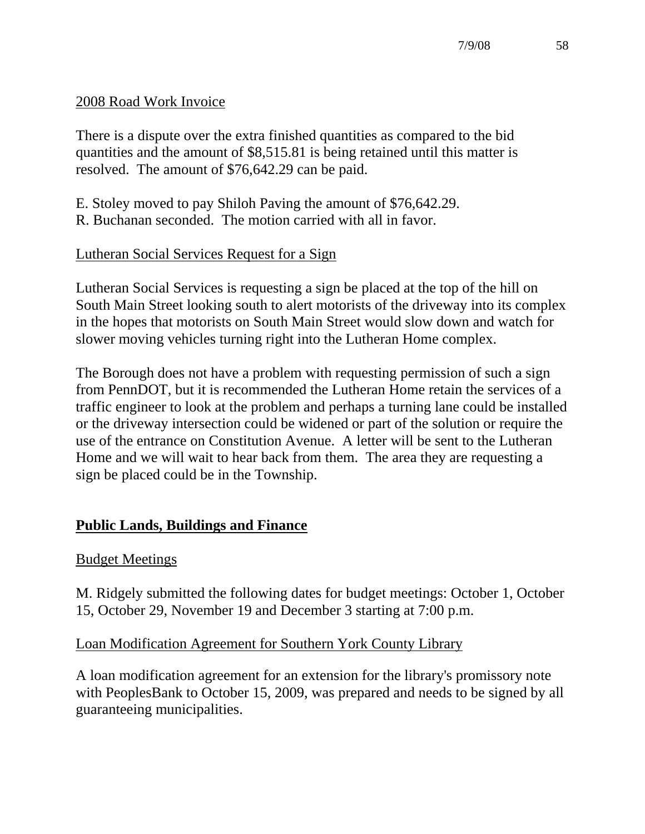#### 2008 Road Work Invoice

There is a dispute over the extra finished quantities as compared to the bid quantities and the amount of \$8,515.81 is being retained until this matter is resolved. The amount of \$76,642.29 can be paid.

E. Stoley moved to pay Shiloh Paving the amount of \$76,642.29.

R. Buchanan seconded. The motion carried with all in favor.

### Lutheran Social Services Request for a Sign

Lutheran Social Services is requesting a sign be placed at the top of the hill on South Main Street looking south to alert motorists of the driveway into its complex in the hopes that motorists on South Main Street would slow down and watch for slower moving vehicles turning right into the Lutheran Home complex.

The Borough does not have a problem with requesting permission of such a sign from PennDOT, but it is recommended the Lutheran Home retain the services of a traffic engineer to look at the problem and perhaps a turning lane could be installed or the driveway intersection could be widened or part of the solution or require the use of the entrance on Constitution Avenue. A letter will be sent to the Lutheran Home and we will wait to hear back from them. The area they are requesting a sign be placed could be in the Township.

# **Public Lands, Buildings and Finance**

### Budget Meetings

M. Ridgely submitted the following dates for budget meetings: October 1, October 15, October 29, November 19 and December 3 starting at 7:00 p.m.

### Loan Modification Agreement for Southern York County Library

A loan modification agreement for an extension for the library's promissory note with PeoplesBank to October 15, 2009, was prepared and needs to be signed by all guaranteeing municipalities.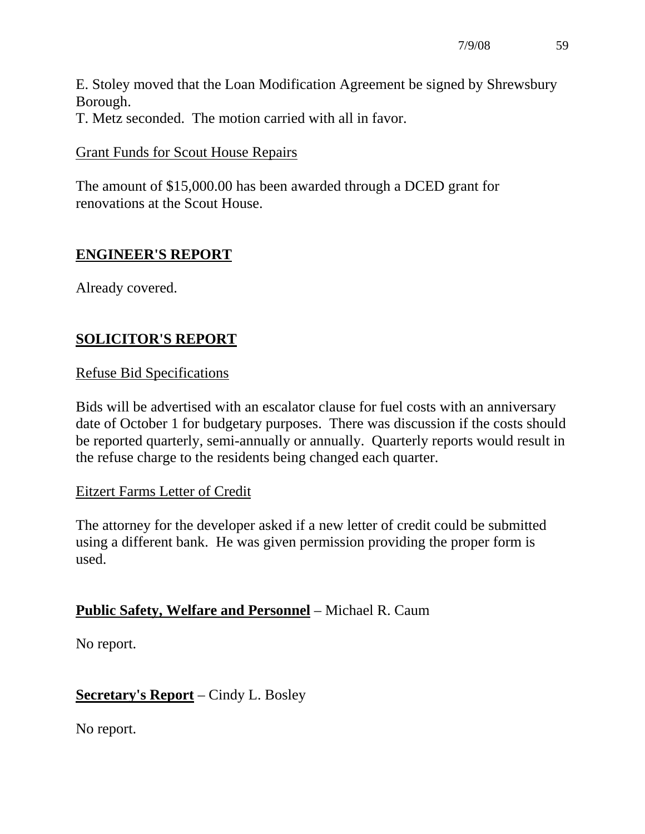E. Stoley moved that the Loan Modification Agreement be signed by Shrewsbury Borough.

T. Metz seconded. The motion carried with all in favor.

#### Grant Funds for Scout House Repairs

The amount of \$15,000.00 has been awarded through a DCED grant for renovations at the Scout House.

### **ENGINEER'S REPORT**

Already covered.

# **SOLICITOR'S REPORT**

### Refuse Bid Specifications

Bids will be advertised with an escalator clause for fuel costs with an anniversary date of October 1 for budgetary purposes. There was discussion if the costs should be reported quarterly, semi-annually or annually. Quarterly reports would result in the refuse charge to the residents being changed each quarter.

### Eitzert Farms Letter of Credit

The attorney for the developer asked if a new letter of credit could be submitted using a different bank. He was given permission providing the proper form is used.

### **Public Safety, Welfare and Personnel** – Michael R. Caum

No report.

### **Secretary's Report** – Cindy L. Bosley

No report.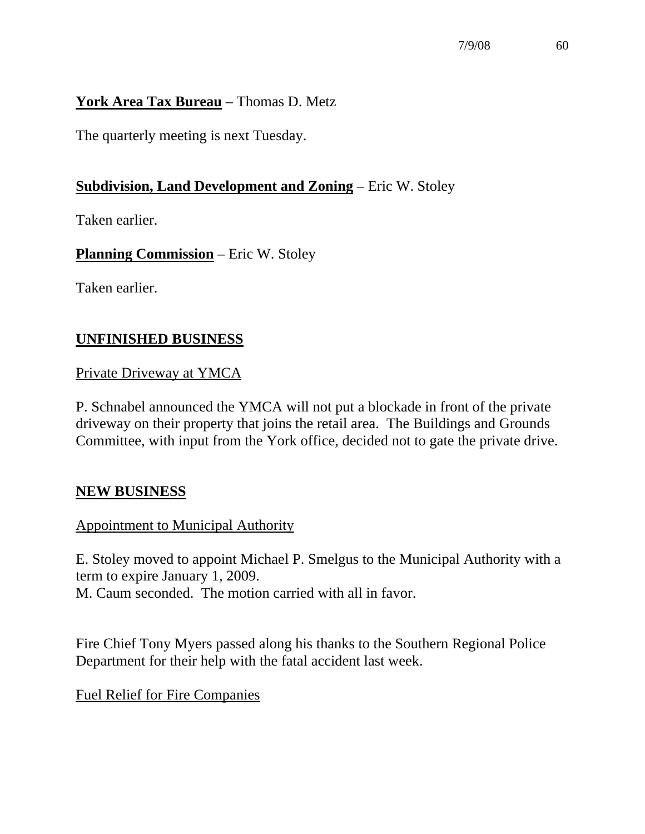### **York Area Tax Bureau** – Thomas D. Metz

The quarterly meeting is next Tuesday.

### **Subdivision, Land Development and Zoning** – Eric W. Stoley

Taken earlier.

**Planning Commission** – Eric W. Stoley

Taken earlier.

### **UNFINISHED BUSINESS**

Private Driveway at YMCA

P. Schnabel announced the YMCA will not put a blockade in front of the private driveway on their property that joins the retail area. The Buildings and Grounds Committee, with input from the York office, decided not to gate the private drive.

### **NEW BUSINESS**

### Appointment to Municipal Authority

E. Stoley moved to appoint Michael P. Smelgus to the Municipal Authority with a term to expire January 1, 2009. M. Caum seconded. The motion carried with all in favor.

Fire Chief Tony Myers passed along his thanks to the Southern Regional Police Department for their help with the fatal accident last week.

Fuel Relief for Fire Companies